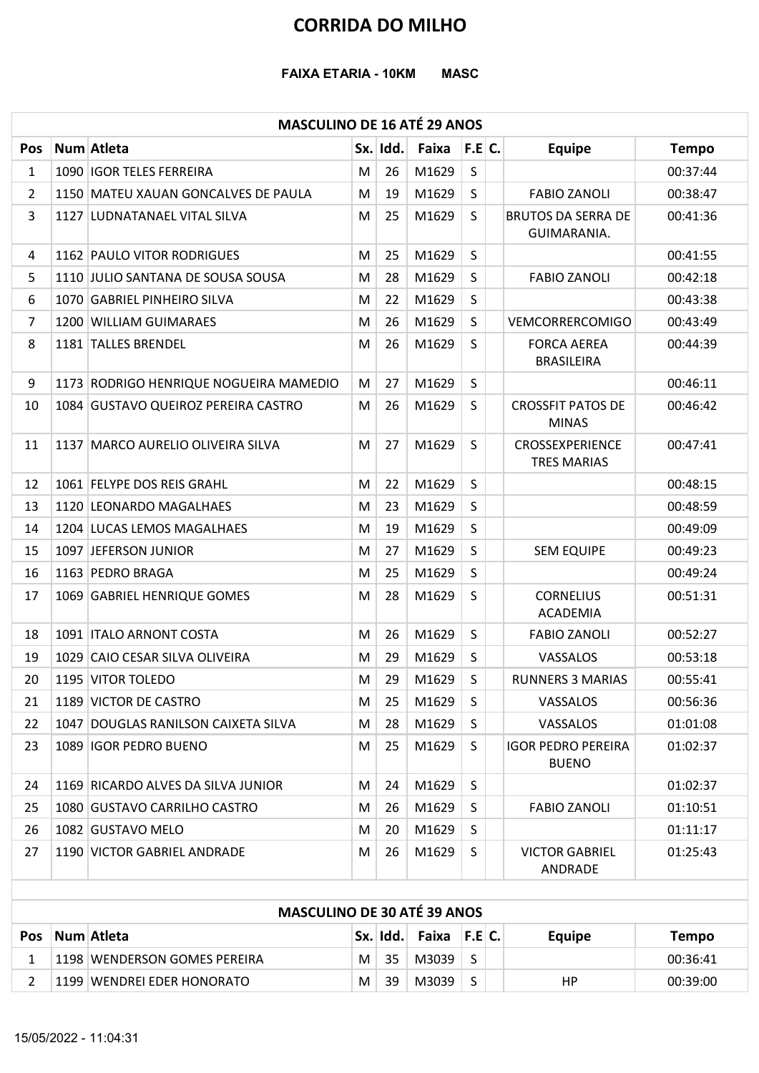#### MASCULINO DE 16 ATÉ 29 ANOS

|                | <b>FAIXA ETARIA - 10KM</b>                                          |                |          | <b>CORRIDA DO MILHO</b><br><b>MASC</b> |              |                                                                 |                      |
|----------------|---------------------------------------------------------------------|----------------|----------|----------------------------------------|--------------|-----------------------------------------------------------------|----------------------|
|                | <b>MASCULINO DE 16 ATÉ 29 ANOS</b>                                  |                |          |                                        |              |                                                                 |                      |
| Pos            | Num Atleta                                                          |                | Sx. Idd. | Faixa                                  | F.E.C.       | <b>Equipe</b>                                                   | <b>Tempo</b>         |
| $\mathbf{1}$   | 1090 IGOR TELES FERREIRA                                            | M              | 26       | M1629                                  | S            |                                                                 | 00:37:44             |
| 2<br>3         | 1150 MATEU XAUAN GONCALVES DE PAULA<br>1127 LUDNATANAEL VITAL SILVA | M<br>M         | 19<br>25 | M1629<br>M1629                         | S<br>S       | <b>FABIO ZANOLI</b><br><b>BRUTOS DA SERRA DE</b><br>GUIMARANIA. | 00:38:47<br>00:41:36 |
| 4              | 1162 PAULO VITOR RODRIGUES                                          | M              | 25       | M1629                                  | S            |                                                                 | 00:41:55             |
| 5              | 1110 JULIO SANTANA DE SOUSA SOUSA                                   | M              | 28       | M1629                                  | S            | <b>FABIO ZANOLI</b>                                             | 00:42:18             |
| 6              | 1070 GABRIEL PINHEIRO SILVA                                         | M              | 22       | M1629                                  | S            |                                                                 | 00:43:38             |
| $\overline{7}$ | 1200 WILLIAM GUIMARAES                                              | M              | 26       | M1629                                  | $\mathsf{S}$ | VEMCORRERCOMIGO                                                 | 00:43:49             |
| 8              | 1181 TALLES BRENDEL                                                 | M              | 26       | M1629                                  | S            | <b>FORCA AEREA</b>                                              | 00:44:39             |
|                |                                                                     |                |          |                                        |              | <b>BRASILEIRA</b>                                               |                      |
| 9              | 1173 RODRIGO HENRIQUE NOGUEIRA MAMEDIO                              | M              | 27       | M1629                                  | S            |                                                                 | 00:46:11             |
| 10             | 1084 GUSTAVO QUEIROZ PEREIRA CASTRO                                 |                |          | $M$ 26 M1629 S                         |              | <b>CROSSFIT PATOS DE</b><br><b>MINAS</b>                        | 00:46:42             |
| 11             | 1137 MARCO AURELIO OLIVEIRA SILVA                                   | M              | 27       | M1629                                  | S            | CROSSEXPERIENCE<br><b>TRES MARIAS</b>                           | 00:47:41             |
| 12             | 1061 FELYPE DOS REIS GRAHL                                          | M              | 22       | M1629                                  | S.           |                                                                 | 00:48:15             |
| 13             | 1120 LEONARDO MAGALHAES                                             | M              | 23       | M1629                                  | S            |                                                                 | 00:48:59             |
| 14             | 1204 LUCAS LEMOS MAGALHAES                                          | M              | 19       | M1629                                  | S            |                                                                 | 00:49:09             |
| 15             | 1097 JEFERSON JUNIOR                                                | M              | 27       | M1629                                  | S.           | <b>SEM EQUIPE</b>                                               | 00:49:23             |
| 16             | 1163 PEDRO BRAGA                                                    | M              | 25       | M1629                                  | S            |                                                                 | 00:49:24             |
| 17             | 1069 GABRIEL HENRIQUE GOMES                                         | M              | 28       | M1629                                  | S            | <b>CORNELIUS</b><br>ACADEMIA                                    | 00:51:31             |
| 18             | 1091   ITALO ARNONT COSTA                                           | M              | 26       | M1629                                  | S.           | <b>FABIO ZANOLI</b>                                             | 00:52:27             |
| 19             | 1029 CAIO CESAR SILVA OLIVEIRA                                      | M              | 29       | M1629                                  | S            | VASSALOS                                                        | 00:53:18             |
| 20             | 1195 VITOR TOLEDO                                                   | M              | 29       | M1629                                  | S            | <b>RUNNERS 3 MARIAS</b>                                         | 00:55:41             |
| 21             | 1189 VICTOR DE CASTRO                                               | M              | 25       | M1629                                  | S            | VASSALOS                                                        | 00:56:36             |
| 22             | 1047 DOUGLAS RANILSON CAIXETA SILVA                                 | M              | 28       | M1629                                  | S            | VASSALOS                                                        | 01:01:08             |
| 23             | 1089 IGOR PEDRO BUENO                                               | M              | 25       | M1629                                  | S.           | <b>IGOR PEDRO PEREIRA</b><br><b>BUENO</b>                       | 01:02:37             |
| 24             | 1169 RICARDO ALVES DA SILVA JUNIOR                                  | M              | 24       | M1629                                  | S.           |                                                                 | 01:02:37             |
| 25             | 1080 GUSTAVO CARRILHO CASTRO                                        | M              | 26       | M1629                                  | S            | <b>FABIO ZANOLI</b>                                             | 01:10:51             |
| 26             | 1082 GUSTAVO MELO                                                   | M              | 20       | M1629                                  | S            |                                                                 | 01:11:17             |
| 27             | 1190 VICTOR GABRIEL ANDRADE                                         | M              | 26       | M1629                                  | S            | <b>VICTOR GABRIEL</b><br>ANDRADE                                | 01:25:43             |
|                | <b>MASCULINO DE 30 ATÉ 39 ANOS</b>                                  |                |          |                                        |              |                                                                 |                      |
|                | Pos Num Atleta                                                      |                | Sx. Idd. | Faixa                                  | F.E C.       | <b>Equipe</b>                                                   | <b>Tempo</b>         |
| $\mathbf{1}$   | 1198 WENDERSON GOMES PEREIRA                                        | M <sub>1</sub> | 35       | M3039                                  | S            |                                                                 | 00:36:41             |
| 2              | 1199 WENDREI EDER HONORATO                                          | $M \mid$       |          | $39$ M3039 S                           |              | HP                                                              | 00:39:00             |

|            | <b>MASCULINO DE 30 ATÉ 39 ANOS</b> |   |    |                               |  |        |          |
|------------|------------------------------------|---|----|-------------------------------|--|--------|----------|
| <b>Pos</b> | Num Atleta                         |   |    | $ Sx. $ Idd. Faixa F.E $ C. $ |  | Equipe | Tempo    |
|            | 1198 WENDERSON GOMES PEREIRA       | М | 35 | M3039                         |  |        | 00:36:41 |
|            | 1199 WENDREI EDER HONORATO         | М | 39 | M3039                         |  | ΗP     | 00:39:00 |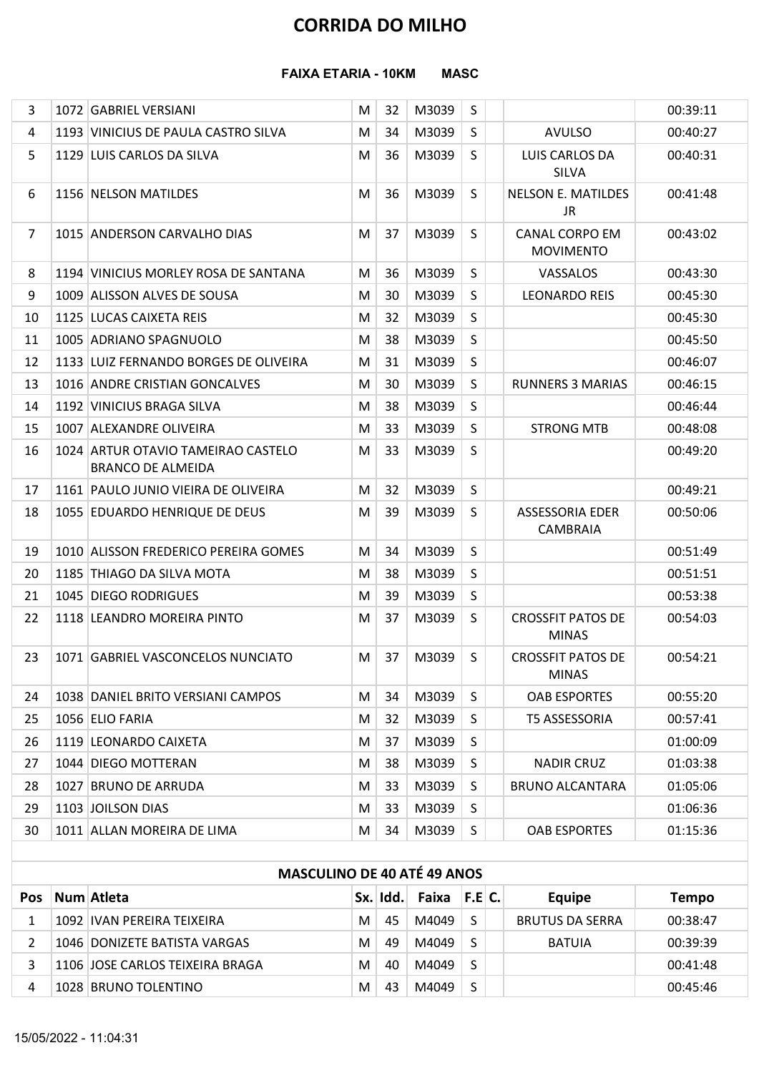#### FAIXA ETARIA - 10KM MASC

| <b>CORRIDA DO MILHO</b><br><b>FAIXA ETARIA - 10KM</b><br><b>MASC</b><br>M3039<br>S<br>3<br>1072 GABRIEL VERSIANI<br>32<br>M<br>M3039<br>S<br>1193 VINICIUS DE PAULA CASTRO SILVA<br>34<br><b>AVULSO</b><br>4<br>M<br>5<br>36<br>M3039<br>S<br>LUIS CARLOS DA<br>1129 LUIS CARLOS DA SILVA<br>M<br>SILVA<br>6<br>36<br>M3039<br><sub>S</sub><br><b>NELSON E. MATILDES</b><br>1156 NELSON MATILDES<br>M<br><b>JR</b><br>M3039<br>$\overline{7}$<br>37<br><b>CANAL CORPO EM</b><br>1015 ANDERSON CARVALHO DIAS<br>M<br>-S<br><b>MOVIMENTO</b><br>M3039<br>36<br>S<br>8<br>1194 VINICIUS MORLEY ROSA DE SANTANA<br>M<br>VASSALOS<br>M3039<br>30<br>S<br>9<br>1009 ALISSON ALVES DE SOUSA<br><b>LEONARDO REIS</b><br>M<br>M3039<br>S<br>1125 LUCAS CAIXETA REIS<br>32<br>10<br>M<br>38<br>M3039<br>11<br>1005 ADRIANO SPAGNUOLO<br>S<br>M<br>31<br>M3039<br>$\sf S$<br>M<br>1133 LUIZ FERNANDO BORGES DE OLIVEIRA<br>12<br>M3039<br>S<br>1016 ANDRE CRISTIAN GONCALVES<br>30<br><b>RUNNERS 3 MARIAS</b><br>M<br>13<br>M3039<br>M<br>38<br>S<br>1192 VINICIUS BRAGA SILVA<br>14<br>M3039<br>1007 ALEXANDRE OLIVEIRA<br>33<br>S.<br><b>STRONG MTB</b><br>15<br>M<br>33<br>M3039<br>1024 ARTUR OTAVIO TAMEIRAO CASTELO<br>S<br>16<br>M<br><b>BRANCO DE ALMEIDA</b><br>32<br>M3039<br>S<br>1161 PAULO JUNIO VIEIRA DE OLIVEIRA<br>M<br>17<br>39<br>M3039<br>M<br>S<br>ASSESSORIA EDER<br>18<br>1055 EDUARDO HENRIQUE DE DEUS<br>CAMBRAIA<br>M3039<br>34<br>1010 ALISSON FREDERICO PEREIRA GOMES<br>S<br>19<br>M<br>M3039<br>38<br>20<br>1185 THIAGO DA SILVA MOTA<br>M<br>S<br>M3039<br>1045 DIEGO RODRIGUES<br>39<br>S<br>21<br>M<br>M3039<br><b>CROSSFIT PATOS DE</b><br>37<br>S<br>22<br>1118 LEANDRO MOREIRA PINTO<br>M<br><b>MINAS</b><br>M3039<br>1071 GABRIEL VASCONCELOS NUNCIATO<br>37<br>S<br><b>CROSSFIT PATOS DE</b><br>23<br>M<br><b>MINAS</b><br>34<br>M3039<br>1038 DANIEL BRITO VERSIANI CAMPOS<br>M<br>S<br><b>OAB ESPORTES</b><br>24<br>M3039<br>1056 ELIO FARIA<br>32<br>S<br>25<br>M<br><b>T5 ASSESSORIA</b><br>M3039<br>1119 LEONARDO CAIXETA<br>37<br>S<br>26<br>M<br>1044 DIEGO MOTTERAN<br>38<br>M3039<br><b>NADIR CRUZ</b><br>27<br>M<br>S<br>M3039<br>33<br>S<br>28<br>1027 BRUNO DE ARRUDA<br>M<br><b>BRUNO ALCANTARA</b><br>M3039<br>29<br>1103 JOILSON DIAS<br>33<br>S<br>01:06:36<br>M<br>34<br>M3039<br>S<br><b>OAB ESPORTES</b><br>30<br>1011 ALLAN MOREIRA DE LIMA<br>M<br>01:15:36<br><b>MASCULINO DE 40 ATÉ 49 ANOS</b> |  |  |  |  |                      |
|---------------------------------------------------------------------------------------------------------------------------------------------------------------------------------------------------------------------------------------------------------------------------------------------------------------------------------------------------------------------------------------------------------------------------------------------------------------------------------------------------------------------------------------------------------------------------------------------------------------------------------------------------------------------------------------------------------------------------------------------------------------------------------------------------------------------------------------------------------------------------------------------------------------------------------------------------------------------------------------------------------------------------------------------------------------------------------------------------------------------------------------------------------------------------------------------------------------------------------------------------------------------------------------------------------------------------------------------------------------------------------------------------------------------------------------------------------------------------------------------------------------------------------------------------------------------------------------------------------------------------------------------------------------------------------------------------------------------------------------------------------------------------------------------------------------------------------------------------------------------------------------------------------------------------------------------------------------------------------------------------------------------------------------------------------------------------------------------------------------------------------------------------------------------------------------------------------------------------------------------------------------------------------------------------------------------------------------------------------------------------------------------------------------------------------------------------|--|--|--|--|----------------------|
|                                                                                                                                                                                                                                                                                                                                                                                                                                                                                                                                                                                                                                                                                                                                                                                                                                                                                                                                                                                                                                                                                                                                                                                                                                                                                                                                                                                                                                                                                                                                                                                                                                                                                                                                                                                                                                                                                                                                                                                                                                                                                                                                                                                                                                                                                                                                                                                                                                                   |  |  |  |  |                      |
|                                                                                                                                                                                                                                                                                                                                                                                                                                                                                                                                                                                                                                                                                                                                                                                                                                                                                                                                                                                                                                                                                                                                                                                                                                                                                                                                                                                                                                                                                                                                                                                                                                                                                                                                                                                                                                                                                                                                                                                                                                                                                                                                                                                                                                                                                                                                                                                                                                                   |  |  |  |  |                      |
|                                                                                                                                                                                                                                                                                                                                                                                                                                                                                                                                                                                                                                                                                                                                                                                                                                                                                                                                                                                                                                                                                                                                                                                                                                                                                                                                                                                                                                                                                                                                                                                                                                                                                                                                                                                                                                                                                                                                                                                                                                                                                                                                                                                                                                                                                                                                                                                                                                                   |  |  |  |  |                      |
|                                                                                                                                                                                                                                                                                                                                                                                                                                                                                                                                                                                                                                                                                                                                                                                                                                                                                                                                                                                                                                                                                                                                                                                                                                                                                                                                                                                                                                                                                                                                                                                                                                                                                                                                                                                                                                                                                                                                                                                                                                                                                                                                                                                                                                                                                                                                                                                                                                                   |  |  |  |  | 00:39:11             |
|                                                                                                                                                                                                                                                                                                                                                                                                                                                                                                                                                                                                                                                                                                                                                                                                                                                                                                                                                                                                                                                                                                                                                                                                                                                                                                                                                                                                                                                                                                                                                                                                                                                                                                                                                                                                                                                                                                                                                                                                                                                                                                                                                                                                                                                                                                                                                                                                                                                   |  |  |  |  | 00:40:27             |
|                                                                                                                                                                                                                                                                                                                                                                                                                                                                                                                                                                                                                                                                                                                                                                                                                                                                                                                                                                                                                                                                                                                                                                                                                                                                                                                                                                                                                                                                                                                                                                                                                                                                                                                                                                                                                                                                                                                                                                                                                                                                                                                                                                                                                                                                                                                                                                                                                                                   |  |  |  |  | 00:40:31             |
|                                                                                                                                                                                                                                                                                                                                                                                                                                                                                                                                                                                                                                                                                                                                                                                                                                                                                                                                                                                                                                                                                                                                                                                                                                                                                                                                                                                                                                                                                                                                                                                                                                                                                                                                                                                                                                                                                                                                                                                                                                                                                                                                                                                                                                                                                                                                                                                                                                                   |  |  |  |  | 00:41:48             |
|                                                                                                                                                                                                                                                                                                                                                                                                                                                                                                                                                                                                                                                                                                                                                                                                                                                                                                                                                                                                                                                                                                                                                                                                                                                                                                                                                                                                                                                                                                                                                                                                                                                                                                                                                                                                                                                                                                                                                                                                                                                                                                                                                                                                                                                                                                                                                                                                                                                   |  |  |  |  | 00:43:02             |
|                                                                                                                                                                                                                                                                                                                                                                                                                                                                                                                                                                                                                                                                                                                                                                                                                                                                                                                                                                                                                                                                                                                                                                                                                                                                                                                                                                                                                                                                                                                                                                                                                                                                                                                                                                                                                                                                                                                                                                                                                                                                                                                                                                                                                                                                                                                                                                                                                                                   |  |  |  |  | 00:43:30             |
|                                                                                                                                                                                                                                                                                                                                                                                                                                                                                                                                                                                                                                                                                                                                                                                                                                                                                                                                                                                                                                                                                                                                                                                                                                                                                                                                                                                                                                                                                                                                                                                                                                                                                                                                                                                                                                                                                                                                                                                                                                                                                                                                                                                                                                                                                                                                                                                                                                                   |  |  |  |  | 00:45:30             |
|                                                                                                                                                                                                                                                                                                                                                                                                                                                                                                                                                                                                                                                                                                                                                                                                                                                                                                                                                                                                                                                                                                                                                                                                                                                                                                                                                                                                                                                                                                                                                                                                                                                                                                                                                                                                                                                                                                                                                                                                                                                                                                                                                                                                                                                                                                                                                                                                                                                   |  |  |  |  | 00:45:30             |
|                                                                                                                                                                                                                                                                                                                                                                                                                                                                                                                                                                                                                                                                                                                                                                                                                                                                                                                                                                                                                                                                                                                                                                                                                                                                                                                                                                                                                                                                                                                                                                                                                                                                                                                                                                                                                                                                                                                                                                                                                                                                                                                                                                                                                                                                                                                                                                                                                                                   |  |  |  |  | 00:45:50             |
|                                                                                                                                                                                                                                                                                                                                                                                                                                                                                                                                                                                                                                                                                                                                                                                                                                                                                                                                                                                                                                                                                                                                                                                                                                                                                                                                                                                                                                                                                                                                                                                                                                                                                                                                                                                                                                                                                                                                                                                                                                                                                                                                                                                                                                                                                                                                                                                                                                                   |  |  |  |  | 00:46:07             |
|                                                                                                                                                                                                                                                                                                                                                                                                                                                                                                                                                                                                                                                                                                                                                                                                                                                                                                                                                                                                                                                                                                                                                                                                                                                                                                                                                                                                                                                                                                                                                                                                                                                                                                                                                                                                                                                                                                                                                                                                                                                                                                                                                                                                                                                                                                                                                                                                                                                   |  |  |  |  | 00:46:15             |
|                                                                                                                                                                                                                                                                                                                                                                                                                                                                                                                                                                                                                                                                                                                                                                                                                                                                                                                                                                                                                                                                                                                                                                                                                                                                                                                                                                                                                                                                                                                                                                                                                                                                                                                                                                                                                                                                                                                                                                                                                                                                                                                                                                                                                                                                                                                                                                                                                                                   |  |  |  |  | 00:46:44             |
|                                                                                                                                                                                                                                                                                                                                                                                                                                                                                                                                                                                                                                                                                                                                                                                                                                                                                                                                                                                                                                                                                                                                                                                                                                                                                                                                                                                                                                                                                                                                                                                                                                                                                                                                                                                                                                                                                                                                                                                                                                                                                                                                                                                                                                                                                                                                                                                                                                                   |  |  |  |  | 00:48:08             |
|                                                                                                                                                                                                                                                                                                                                                                                                                                                                                                                                                                                                                                                                                                                                                                                                                                                                                                                                                                                                                                                                                                                                                                                                                                                                                                                                                                                                                                                                                                                                                                                                                                                                                                                                                                                                                                                                                                                                                                                                                                                                                                                                                                                                                                                                                                                                                                                                                                                   |  |  |  |  | 00:49:20             |
|                                                                                                                                                                                                                                                                                                                                                                                                                                                                                                                                                                                                                                                                                                                                                                                                                                                                                                                                                                                                                                                                                                                                                                                                                                                                                                                                                                                                                                                                                                                                                                                                                                                                                                                                                                                                                                                                                                                                                                                                                                                                                                                                                                                                                                                                                                                                                                                                                                                   |  |  |  |  | 00:49:21             |
|                                                                                                                                                                                                                                                                                                                                                                                                                                                                                                                                                                                                                                                                                                                                                                                                                                                                                                                                                                                                                                                                                                                                                                                                                                                                                                                                                                                                                                                                                                                                                                                                                                                                                                                                                                                                                                                                                                                                                                                                                                                                                                                                                                                                                                                                                                                                                                                                                                                   |  |  |  |  | 00:50:06             |
|                                                                                                                                                                                                                                                                                                                                                                                                                                                                                                                                                                                                                                                                                                                                                                                                                                                                                                                                                                                                                                                                                                                                                                                                                                                                                                                                                                                                                                                                                                                                                                                                                                                                                                                                                                                                                                                                                                                                                                                                                                                                                                                                                                                                                                                                                                                                                                                                                                                   |  |  |  |  | 00:51:49             |
|                                                                                                                                                                                                                                                                                                                                                                                                                                                                                                                                                                                                                                                                                                                                                                                                                                                                                                                                                                                                                                                                                                                                                                                                                                                                                                                                                                                                                                                                                                                                                                                                                                                                                                                                                                                                                                                                                                                                                                                                                                                                                                                                                                                                                                                                                                                                                                                                                                                   |  |  |  |  | 00:51:51             |
|                                                                                                                                                                                                                                                                                                                                                                                                                                                                                                                                                                                                                                                                                                                                                                                                                                                                                                                                                                                                                                                                                                                                                                                                                                                                                                                                                                                                                                                                                                                                                                                                                                                                                                                                                                                                                                                                                                                                                                                                                                                                                                                                                                                                                                                                                                                                                                                                                                                   |  |  |  |  | 00:53:38             |
|                                                                                                                                                                                                                                                                                                                                                                                                                                                                                                                                                                                                                                                                                                                                                                                                                                                                                                                                                                                                                                                                                                                                                                                                                                                                                                                                                                                                                                                                                                                                                                                                                                                                                                                                                                                                                                                                                                                                                                                                                                                                                                                                                                                                                                                                                                                                                                                                                                                   |  |  |  |  | 00:54:03             |
|                                                                                                                                                                                                                                                                                                                                                                                                                                                                                                                                                                                                                                                                                                                                                                                                                                                                                                                                                                                                                                                                                                                                                                                                                                                                                                                                                                                                                                                                                                                                                                                                                                                                                                                                                                                                                                                                                                                                                                                                                                                                                                                                                                                                                                                                                                                                                                                                                                                   |  |  |  |  | 00:54:21             |
|                                                                                                                                                                                                                                                                                                                                                                                                                                                                                                                                                                                                                                                                                                                                                                                                                                                                                                                                                                                                                                                                                                                                                                                                                                                                                                                                                                                                                                                                                                                                                                                                                                                                                                                                                                                                                                                                                                                                                                                                                                                                                                                                                                                                                                                                                                                                                                                                                                                   |  |  |  |  | 00:55:20             |
|                                                                                                                                                                                                                                                                                                                                                                                                                                                                                                                                                                                                                                                                                                                                                                                                                                                                                                                                                                                                                                                                                                                                                                                                                                                                                                                                                                                                                                                                                                                                                                                                                                                                                                                                                                                                                                                                                                                                                                                                                                                                                                                                                                                                                                                                                                                                                                                                                                                   |  |  |  |  | 00:57:41             |
|                                                                                                                                                                                                                                                                                                                                                                                                                                                                                                                                                                                                                                                                                                                                                                                                                                                                                                                                                                                                                                                                                                                                                                                                                                                                                                                                                                                                                                                                                                                                                                                                                                                                                                                                                                                                                                                                                                                                                                                                                                                                                                                                                                                                                                                                                                                                                                                                                                                   |  |  |  |  | 01:00:09             |
|                                                                                                                                                                                                                                                                                                                                                                                                                                                                                                                                                                                                                                                                                                                                                                                                                                                                                                                                                                                                                                                                                                                                                                                                                                                                                                                                                                                                                                                                                                                                                                                                                                                                                                                                                                                                                                                                                                                                                                                                                                                                                                                                                                                                                                                                                                                                                                                                                                                   |  |  |  |  | 01:03:38             |
|                                                                                                                                                                                                                                                                                                                                                                                                                                                                                                                                                                                                                                                                                                                                                                                                                                                                                                                                                                                                                                                                                                                                                                                                                                                                                                                                                                                                                                                                                                                                                                                                                                                                                                                                                                                                                                                                                                                                                                                                                                                                                                                                                                                                                                                                                                                                                                                                                                                   |  |  |  |  | 01:05:06             |
|                                                                                                                                                                                                                                                                                                                                                                                                                                                                                                                                                                                                                                                                                                                                                                                                                                                                                                                                                                                                                                                                                                                                                                                                                                                                                                                                                                                                                                                                                                                                                                                                                                                                                                                                                                                                                                                                                                                                                                                                                                                                                                                                                                                                                                                                                                                                                                                                                                                   |  |  |  |  |                      |
|                                                                                                                                                                                                                                                                                                                                                                                                                                                                                                                                                                                                                                                                                                                                                                                                                                                                                                                                                                                                                                                                                                                                                                                                                                                                                                                                                                                                                                                                                                                                                                                                                                                                                                                                                                                                                                                                                                                                                                                                                                                                                                                                                                                                                                                                                                                                                                                                                                                   |  |  |  |  |                      |
|                                                                                                                                                                                                                                                                                                                                                                                                                                                                                                                                                                                                                                                                                                                                                                                                                                                                                                                                                                                                                                                                                                                                                                                                                                                                                                                                                                                                                                                                                                                                                                                                                                                                                                                                                                                                                                                                                                                                                                                                                                                                                                                                                                                                                                                                                                                                                                                                                                                   |  |  |  |  |                      |
| Pos Num Atleta<br>Sx. Idd.<br>Faixa<br>F.E.C.<br><b>Equipe</b>                                                                                                                                                                                                                                                                                                                                                                                                                                                                                                                                                                                                                                                                                                                                                                                                                                                                                                                                                                                                                                                                                                                                                                                                                                                                                                                                                                                                                                                                                                                                                                                                                                                                                                                                                                                                                                                                                                                                                                                                                                                                                                                                                                                                                                                                                                                                                                                    |  |  |  |  | <b>Tempo</b>         |
| S<br>1092 IVAN PEREIRA TEIXEIRA<br>M4049<br>M<br>45<br><b>BRUTUS DA SERRA</b><br>1                                                                                                                                                                                                                                                                                                                                                                                                                                                                                                                                                                                                                                                                                                                                                                                                                                                                                                                                                                                                                                                                                                                                                                                                                                                                                                                                                                                                                                                                                                                                                                                                                                                                                                                                                                                                                                                                                                                                                                                                                                                                                                                                                                                                                                                                                                                                                                |  |  |  |  | 00:38:47             |
| M4049<br>$\vert$ S<br>1046 DONIZETE BATISTA VARGAS<br>49<br><b>BATUIA</b><br>2<br>M                                                                                                                                                                                                                                                                                                                                                                                                                                                                                                                                                                                                                                                                                                                                                                                                                                                                                                                                                                                                                                                                                                                                                                                                                                                                                                                                                                                                                                                                                                                                                                                                                                                                                                                                                                                                                                                                                                                                                                                                                                                                                                                                                                                                                                                                                                                                                               |  |  |  |  | 00:39:39             |
| M4049<br>1106 JOSE CARLOS TEIXEIRA BRAGA<br>M<br>40<br>S<br>3<br>M4049<br>S<br>43<br>1028 BRUNO TOLENTINO<br>M                                                                                                                                                                                                                                                                                                                                                                                                                                                                                                                                                                                                                                                                                                                                                                                                                                                                                                                                                                                                                                                                                                                                                                                                                                                                                                                                                                                                                                                                                                                                                                                                                                                                                                                                                                                                                                                                                                                                                                                                                                                                                                                                                                                                                                                                                                                                    |  |  |  |  | 00:41:48<br>00:45:46 |

|            | <b>MASCULINO DE 40 ATÉ 49 ANOS</b> |   |          |                  |  |                        |              |
|------------|------------------------------------|---|----------|------------------|--|------------------------|--------------|
| <b>Pos</b> | Num Atleta                         |   | Sx. Idd. | Faixa $ F.E C. $ |  | Equipe                 | <b>Tempo</b> |
|            | 1092 IVAN PEREIRA TEIXEIRA         | M | 45       | M4049            |  | <b>BRUTUS DA SERRA</b> | 00:38:47     |
|            | 1046 DONIZETE BATISTA VARGAS       | M | 49       | M4049            |  | <b>BATUIA</b>          | 00:39:39     |
|            | 1106 JOSE CARLOS TEIXEIRA BRAGA    | M | 40       | M4049            |  |                        | 00:41:48     |
| 4          | 1028 BRUNO TOLENTINO               | M | 43       | M4049            |  |                        | 00:45:46     |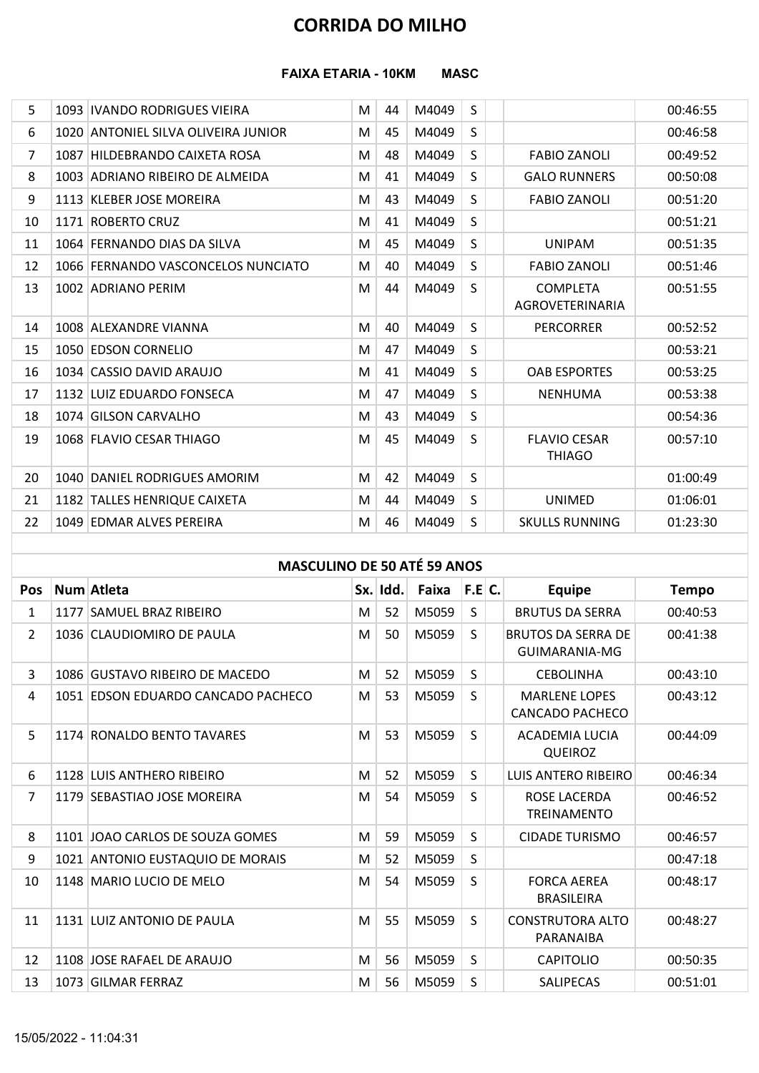#### FAIXA ETARIA - 10KM MASC

|                |                                     |   |          | <b>CORRIDA DO MILHO</b> |              |                                            |              |
|----------------|-------------------------------------|---|----------|-------------------------|--------------|--------------------------------------------|--------------|
|                |                                     |   |          |                         |              |                                            |              |
|                | <b>FAIXA ETARIA - 10KM</b>          |   |          | <b>MASC</b>             |              |                                            |              |
|                |                                     |   |          |                         |              |                                            |              |
| 5              | 1093   IVANDO RODRIGUES VIEIRA      | M | 44       | M4049                   | S            |                                            | 00:46:55     |
| 6              | 1020 ANTONIEL SILVA OLIVEIRA JUNIOR | M | 45       | M4049                   | S            |                                            | 00:46:58     |
| $\overline{7}$ | 1087 HILDEBRANDO CAIXETA ROSA       | M | 48       | M4049                   | S            | <b>FABIO ZANOLI</b>                        | 00:49:52     |
| 8              | 1003 ADRIANO RIBEIRO DE ALMEIDA     | M | 41       | M4049                   | S            | <b>GALO RUNNERS</b>                        | 00:50:08     |
| 9              | 1113 KLEBER JOSE MOREIRA            | M | 43       | M4049                   | S            | <b>FABIO ZANOLI</b>                        | 00:51:20     |
| 10             | 1171 ROBERTO CRUZ                   | M | 41       | M4049                   | S            |                                            | 00:51:21     |
| 11             | 1064 FERNANDO DIAS DA SILVA         | M | 45       | M4049                   | S            | <b>UNIPAM</b>                              | 00:51:35     |
| 12             | 1066 FERNANDO VASCONCELOS NUNCIATO  | М | 40       | M4049                   | S            | <b>FABIO ZANOLI</b>                        | 00:51:46     |
| 13             | 1002 ADRIANO PERIM                  | м | 44       | M4049                   | S            | <b>COMPLETA</b><br>AGROVETERINARIA         | 00:51:55     |
| 14             | 1008 ALEXANDRE VIANNA               | М | 40       | M4049                   | S            | <b>PERCORRER</b>                           | 00:52:52     |
| 15             | 1050 EDSON CORNELIO                 | м | 47       | M4049                   | S            |                                            | 00:53:21     |
| 16             | 1034 CASSIO DAVID ARAUJO            | M | 41       | M4049                   | S            | <b>OAB ESPORTES</b>                        | 00:53:25     |
| 17             | 1132 LUIZ EDUARDO FONSECA           | M | 47       | M4049                   | S            | <b>NENHUMA</b>                             | 00:53:38     |
| 18             | 1074 GILSON CARVALHO                | M | 43       | M4049                   | S            |                                            | 00:54:36     |
| 19             | 1068 FLAVIO CESAR THIAGO            | M | 45       | M4049                   | S            | <b>FLAVIO CESAR</b><br><b>THIAGO</b>       | 00:57:10     |
| 20             | 1040 DANIEL RODRIGUES AMORIM        | M | 42       | M4049                   | S            |                                            | 01:00:49     |
| 21             | 1182 TALLES HENRIQUE CAIXETA        | M | 44       | M4049                   | S            | <b>UNIMED</b>                              | 01:06:01     |
| 22             | 1049 EDMAR ALVES PEREIRA            | M | 46       | M4049                   | $\mathsf{S}$ | <b>SKULLS RUNNING</b>                      | 01:23:30     |
|                |                                     |   |          |                         |              |                                            |              |
|                | <b>MASCULINO DE 50 ATÉ 59 ANOS</b>  |   |          |                         |              |                                            |              |
| Pos            | Num Atleta                          |   | Sx. Idd. | Faixa $ F.E C$ .        |              | <b>Equipe</b>                              | <b>Tempo</b> |
| 1              | 1177 SAMUEL BRAZ RIBEIRO            | M | 52       | M5059                   | S            | <b>BRUTUS DA SERRA</b>                     | 00:40:53     |
| $\mathbf{2}$   | 1036 CLAUDIOMIRO DE PAULA           | M | 50       | M5059                   | S            | <b>BRUTOS DA SERRA DE</b><br>GUIMARANIA-MG | 00:41:38     |
| 3              | 1086 GUSTAVO RIBEIRO DE MACEDO      | M | 52       | M5059                   | S            | <b>CEBOLINHA</b>                           | 00:43:10     |
| 4              | 1051 EDSON EDUARDO CANCADO PACHECO  | M | 53       | M5059                   | S            | <b>MARLENE LOPES</b><br>CANCADO PACHECO    | 00:43:12     |
|                |                                     |   |          |                         |              |                                            |              |